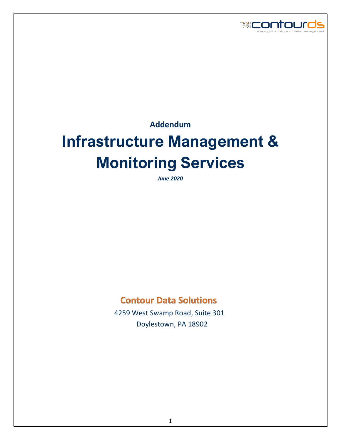

**Addendum**

# **Infrastructure Management & Monitoring Services**

*June 2020*

## **Contour Data Solutions**

 4259 West Swamp Road, Suite 301 Doylestown, PA 18902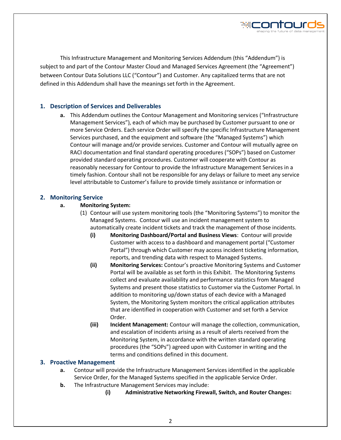

This Infrastructure Management and Monitoring Services Addendum (this "Addendum") is subject to and part of the Contour Master Cloud and Managed Services Agreement (the "Agreement") between Contour Data Solutions LLC ("Contour") and Customer. Any capitalized terms that are not defined in this Addendum shall have the meanings set forth in the Agreement.

#### **1. Description of Services and Deliverables**

**a.** This Addendum outlines the Contour Management and Monitoring services ("Infrastructure Management Services"), each of which may be purchased by Customer pursuant to one or more Service Orders. Each service Order will specify the specific Infrastructure Management Services purchased, and the equipment and software (the "Managed Systems") which Contour will manage and/or provide services. Customer and Contour will mutually agree on RACI documentation and final standard operating procedures ("SOPs") based on Customer provided standard operating procedures. Customer will cooperate with Contour as reasonably necessary for Contour to provide the Infrastructure Management Services in a timely fashion. Contour shall not be responsible for any delays or failure to meet any service level attributable to Customer's failure to provide timely assistance or information or

#### **2. Monitoring Service**

#### **a. Monitoring System:**

- (1) Contour will use system monitoring tools (the "Monitoring Systems") to monitor the Managed Systems. Contour will use an incident management system to automatically create incident tickets and track the management of those incidents.
	- **(i) Monitoring Dashboard/Portal and Business Views**: Contour will provide
		- Customer with access to a dashboard and management portal ("Customer Portal") through which Customer may access incident ticketing information, reports, and trending data with respect to Managed Systems.
		- **(ii) Monitoring Services:** Contour's proactive Monitoring Systems and Customer Portal will be available as set forth in this Exhibit. The Monitoring Systems collect and evaluate availability and performance statistics from Managed Systems and present those statistics to Customer via the Customer Portal. In addition to monitoring up/down status of each device with a Managed System, the Monitoring System monitors the critical application attributes that are identified in cooperation with Customer and set forth a Service Order.
		- **(iii) Incident Management:** Contour will manage the collection, communication, and escalation of incidents arising as a result of alerts received from the Monitoring System, in accordance with the written standard operating procedures (the "SOPs") agreed upon with Customer in writing and the terms and conditions defined in this document.

#### **3. Proactive Management**

- **a.** Contour will provide the Infrastructure Management Services identified in the applicable Service Order, for the Managed Systems specified in the applicable Service Order.
- **b.** The Infrastructure Management Services may include:
	- **(i) Administrative Networking Firewall, Switch, and Router Changes:**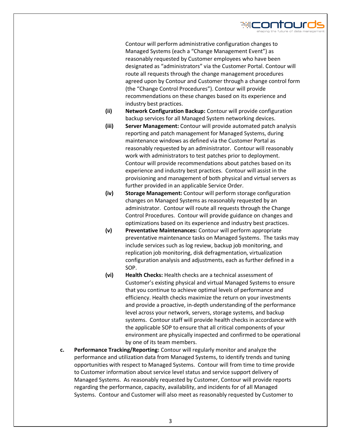

Contour will perform administrative configuration changes to Managed Systems (each a "Change Management Event") as reasonably requested by Customer employees who have been designated as "administrators" via the Customer Portal. Contour will route all requests through the change management procedures agreed upon by Contour and Customer through a change control form (the "Change Control Procedures"). Contour will provide recommendations on these changes based on its experience and industry best practices.

- **(ii) Network Configuration Backup:** Contour will provide configuration backup services for all Managed System networking devices.
- **(iii) Server Management:** Contour will provide automated patch analysis reporting and patch management for Managed Systems, during maintenance windows as defined via the Customer Portal as reasonably requested by an administrator. Contour will reasonably work with administrators to test patches prior to deployment. Contour will provide recommendations about patches based on its experience and industry best practices. Contour will assist in the provisioning and management of both physical and virtual servers as further provided in an applicable Service Order.
- **(iv) Storage Management:** Contour will perform storage configuration changes on Managed Systems as reasonably requested by an administrator. Contour will route all requests through the Change Control Procedures. Contour will provide guidance on changes and optimizations based on its experience and industry best practices.
- **(v) Preventative Maintenances:** Contour will perform appropriate preventative maintenance tasks on Managed Systems. The tasks may include services such as log review, backup job monitoring, and replication job monitoring, disk defragmentation, virtualization configuration analysis and adjustments, each as further defined in a SOP.
- **(vi) Health Checks:** Health checks are a technical assessment of Customer's existing physical and virtual Managed Systems to ensure that you continue to achieve optimal levels of performance and efficiency. Health checks maximize the return on your investments and provide a proactive, in-depth understanding of the performance level across your network, servers, storage systems, and backup systems. Contour staff will provide health checks in accordance with the applicable SOP to ensure that all critical components of your environment are physically inspected and confirmed to be operational by one of its team members.
- **c. Performance Tracking/Reporting:** Contour will regularly monitor and analyze the performance and utilization data from Managed Systems, to identify trends and tuning opportunities with respect to Managed Systems. Contour will from time to time provide to Customer information about service level status and service support delivery of Managed Systems. As reasonably requested by Customer, Contour will provide reports regarding the performance, capacity, availability, and incidents for of all Managed Systems. Contour and Customer will also meet as reasonably requested by Customer to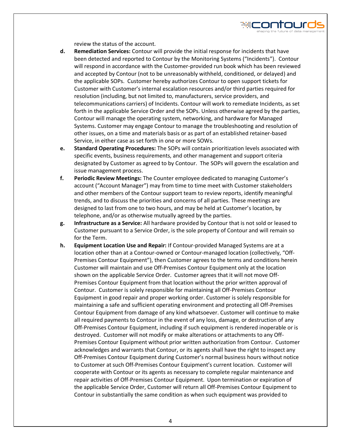

**d. Remediation Services:** Contour will provide the initial response for incidents that have been detected and reported to Contour by the Monitoring Systems ("Incidents"). Contour will respond in accordance with the Customer-provided run book which has been reviewed and accepted by Contour (not to be unreasonably withheld, conditioned, or delayed) and the applicable SOPs. Customer hereby authorizes Contour to open support tickets for Customer with Customer's internal escalation resources and/or third parties required for resolution (including, but not limited to, manufacturers, service providers, and telecommunications carriers) of Incidents. Contour will work to remediate Incidents, as set forth in the applicable Service Order and the SOPs. Unless otherwise agreed by the parties, Contour will manage the operating system, networking, and hardware for Managed Systems. Customer may engage Contour to manage the troubleshooting and resolution of other issues, on a time and materials basis or as part of an established retainer-based Service, in either case as set forth in one or more SOWs.

≋⊏ontour

- **e. Standard Operating Procedures:** The SOPs will contain prioritization levels associated with specific events, business requirements, and other management and support criteria designated by Customer as agreed to by Contour. The SOPs will govern the escalation and issue management process.
- **f. Periodic Review Meetings:** The Counter employee dedicated to managing Customer's account ("Account Manager") may from time to time meet with Customer stakeholders and other members of the Contour support team to review reports, identify meaningful trends, and to discuss the priorities and concerns of all parties. These meetings are designed to last from one to two hours, and may be held at Customer's location, by telephone, and/or as otherwise mutually agreed by the parties.
- **g. Infrastructure as a Service:** All hardware provided by Contour that is not sold or leased to Customer pursuant to a Service Order, is the sole property of Contour and will remain so for the Term.
- **h. Equipment Location Use and Repair:** If Contour-provided Managed Systems are at a location other than at a Contour-owned or Contour-managed location (collectively, "Off-Premises Contour Equipment"), then Customer agrees to the terms and conditions herein Customer will maintain and use Off-Premises Contour Equipment only at the location shown on the applicable Service Order. Customer agrees that it will not move Off-Premises Contour Equipment from that location without the prior written approval of Contour. Customer is solely responsible for maintaining all Off-Premises Contour Equipment in good repair and proper working order. Customer is solely responsible for maintaining a safe and sufficient operating environment and protecting all Off-Premises Contour Equipment from damage of any kind whatsoever. Customer will continue to make all required payments to Contour in the event of any loss, damage, or destruction of any Off-Premises Contour Equipment, including if such equipment is rendered inoperable or is destroyed. Customer will not modify or make alterations or attachments to any Off-Premises Contour Equipment without prior written authorization from Contour. Customer acknowledges and warrants that Contour, or its agents shall have the right to inspect any Off-Premises Contour Equipment during Customer's normal business hours without notice to Customer at such Off-Premises Contour Equipment's current location. Customer will cooperate with Contour or its agents as necessary to complete regular maintenance and repair activities of Off-Premises Contour Equipment. Upon termination or expiration of the applicable Service Order, Customer will return all Off-Premises Contour Equipment to Contour in substantially the same condition as when such equipment was provided to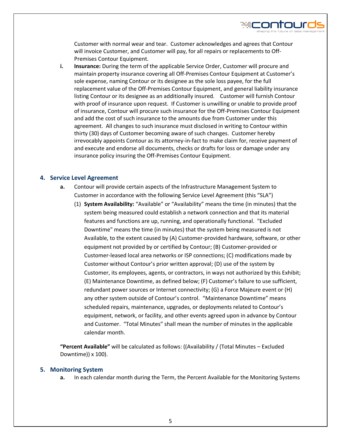

Customer with normal wear and tear. Customer acknowledges and agrees that Contour will invoice Customer, and Customer will pay, for all repairs or replacements to Off-Premises Contour Equipment.

**i. Insurance:** During the term of the applicable Service Order, Customer will procure and maintain property insurance covering all Off-Premises Contour Equipment at Customer's sole expense, naming Contour or its designee as the sole loss payee, for the full replacement value of the Off-Premises Contour Equipment, and general liability insurance listing Contour or its designee as an additionally insured. Customer will furnish Contour with proof of insurance upon request. If Customer is unwilling or unable to provide proof of insurance, Contour will procure such insurance for the Off-Premises Contour Equipment and add the cost of such insurance to the amounts due from Customer under this agreement. All changes to such insurance must disclosed in writing to Contour within thirty (30) days of Customer becoming aware of such changes. Customer hereby irrevocably appoints Contour as its attorney-in-fact to make claim for, receive payment of and execute and endorse all documents, checks or drafts for loss or damage under any insurance policy insuring the Off-Premises Contour Equipment.

#### **4. Service Level Agreement**

- **a.** Contour will provide certain aspects of the Infrastructure Management System to Customer in accordance with the following Service Level Agreement (this "SLA")
	- (1) **System Availability:** "Available" or "Availability" means the time (in minutes) that the system being measured could establish a network connection and that its material features and functions are up, running, and operationally functional. "Excluded Downtime" means the time (in minutes) that the system being measured is not Available, to the extent caused by (A) Customer-provided hardware, software, or other equipment not provided by or certified by Contour; (B) Customer-provided or Customer-leased local area networks or ISP connections; (C) modifications made by Customer without Contour's prior written approval; (D) use of the system by Customer, its employees, agents, or contractors, in ways not authorized by this Exhibit; (E) Maintenance Downtime, as defined below; (F) Customer's failure to use sufficient, redundant power sources or Internet connectivity; (G) a Force Majeure event or (H) any other system outside of Contour's control. "Maintenance Downtime" means scheduled repairs, maintenance, upgrades, or deployments related to Contour's equipment, network, or facility, and other events agreed upon in advance by Contour and Customer. "Total Minutes" shall mean the number of minutes in the applicable calendar month.

**"Percent Available"** will be calculated as follows: ((Availability / (Total Minutes – Excluded Downtime)) x 100).

#### **5. Monitoring System**

**a.** In each calendar month during the Term, the Percent Available for the Monitoring Systems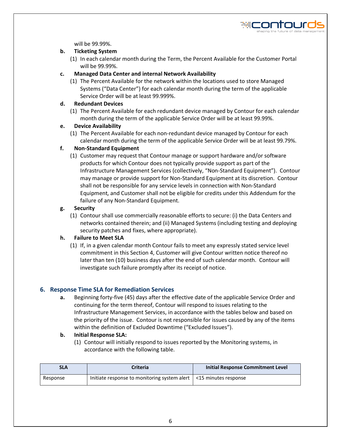

will be 99.99%.

#### **b. Ticketing System**

(1) In each calendar month during the Term, the Percent Available for the Customer Portal will be 99.99%.

#### **c. Managed Data Center and internal Network Availability**

(1) The Percent Available for the network within the locations used to store Managed Systems ("Data Center") for each calendar month during the term of the applicable Service Order will be at least 99.999%.

#### **d. Redundant Devices**

(1) The Percent Available for each redundant device managed by Contour for each calendar month during the term of the applicable Service Order will be at least 99.99%.

#### **e. Device Availability**

(1) The Percent Available for each non-redundant device managed by Contour for each calendar month during the term of the applicable Service Order will be at least 99.79%.

#### **f. Non-Standard Equipment**

(1) Customer may request that Contour manage or support hardware and/or software products for which Contour does not typically provide support as part of the Infrastructure Management Services (collectively, "Non-Standard Equipment"). Contour may manage or provide support for Non-Standard Equipment at its discretion. Contour shall not be responsible for any service levels in connection with Non-Standard Equipment, and Customer shall not be eligible for credits under this Addendum for the failure of any Non-Standard Equipment.

#### **g. Security**

(1) Contour shall use commercially reasonable efforts to secure: (i) the Data Centers and networks contained therein; and (ii) Managed Systems (including testing and deploying security patches and fixes, where appropriate).

#### **h. Failure to Meet SLA**

(1) If, in a given calendar month Contour fails to meet any expressly stated service level commitment in this Section 4, Customer will give Contour written notice thereof no later than ten (10) business days after the end of such calendar month. Contour will investigate such failure promptly after its receipt of notice.

#### **6. Response Time SLA for Remediation Services**

**a.** Beginning forty-five (45) days after the effective date of the applicable Service Order and continuing for the term thereof, Contour will respond to issues relating to the Infrastructure Management Services, in accordance with the tables below and based on the priority of the issue. Contour is not responsible for issues caused by any of the items within the definition of Excluded Downtime ("Excluded Issues").

#### **b. Initial Response SLA:**

(1) Contour will initially respond to issues reported by the Monitoring systems, in accordance with the following table.

| <b>SLA</b> | Criteria                                                                  | Initial Response Commitment Level |
|------------|---------------------------------------------------------------------------|-----------------------------------|
| Response   | Initiate response to monitoring system alert $\vert$ <15 minutes response |                                   |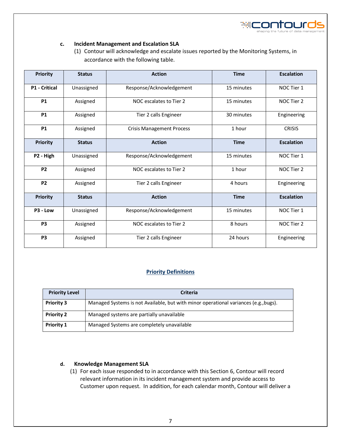

#### **c. Incident Management and Escalation SLA**

(1) Contour will acknowledge and escalate issues reported by the Monitoring Systems, in accordance with the following table.

| <b>Priority</b>      | <b>Status</b> | <b>Action</b>                          | <b>Time</b> | <b>Escalation</b> |
|----------------------|---------------|----------------------------------------|-------------|-------------------|
| <b>P1 - Critical</b> | Unassigned    | Response/Acknowledgement               | 15 minutes  | NOC Tier 1        |
| <b>P1</b>            | Assigned      | NOC escalates to Tier 2                | 15 minutes  | NOC Tier 2        |
| <b>P1</b>            | Assigned      | Tier 2 calls Engineer                  | 30 minutes  | Engineering       |
| <b>P1</b>            | Assigned      | <b>Crisis Management Process</b>       | 1 hour      | <b>CRISIS</b>     |
| <b>Priority</b>      | <b>Status</b> | <b>Action</b>                          | <b>Time</b> | <b>Escalation</b> |
| P2 - High            | Unassigned    | Response/Acknowledgement               | 15 minutes  | NOC Tier 1        |
| <b>P2</b>            | Assigned      | NOC escalates to Tier 2                | 1 hour      | NOC Tier 2        |
| <b>P2</b>            | Assigned      | Tier 2 calls Engineer                  | 4 hours     | Engineering       |
| <b>Priority</b>      | <b>Status</b> | <b>Action</b><br><b>Time</b>           |             | <b>Escalation</b> |
| P3 - Low             | Unassigned    | Response/Acknowledgement<br>15 minutes |             | NOC Tier 1        |
| P <sub>3</sub>       | Assigned      | NOC escalates to Tier 2                | 8 hours     | NOC Tier 2        |
| P <sub>3</sub>       | Assigned      | Tier 2 calls Engineer                  | 24 hours    | Engineering       |

#### **Priority Definitions**

| <b>Priority Level</b> | <b>Criteria</b>                                                                      |  |  |
|-----------------------|--------------------------------------------------------------------------------------|--|--|
| <b>Priority 3</b>     | Managed Systems is not Available, but with minor operational variances (e.g., bugs). |  |  |
| <b>Priority 2</b>     | Managed systems are partially unavailable                                            |  |  |
| <b>Priority 1</b>     | Managed Systems are completely unavailable                                           |  |  |

#### **d. Knowledge Management SLA**

(1) For each issue responded to in accordance with this Section 6, Contour will record relevant information in its incident management system and provide access to Customer upon request. In addition, for each calendar month, Contour will deliver a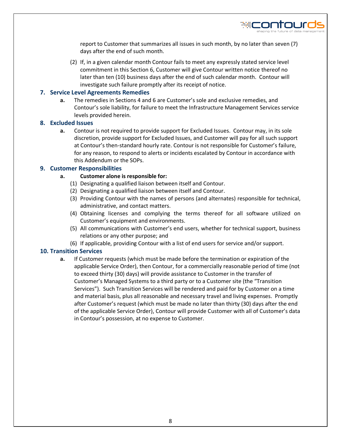

report to Customer that summarizes all issues in such month, by no later than seven (7) days after the end of such month.

(2) If, in a given calendar month Contour fails to meet any expressly stated service level commitment in this Section 6, Customer will give Contour written notice thereof no later than ten (10) business days after the end of such calendar month. Contour will investigate such failure promptly after its receipt of notice.

#### **7. Service Level Agreements Remedies**

**a.** The remedies in Sections 4 and 6 are Customer's sole and exclusive remedies, and Contour's sole liability, for failure to meet the Infrastructure Management Services service levels provided herein.

#### **8. Excluded Issues**

**a.** Contour is not required to provide support for Excluded Issues. Contour may, in its sole discretion, provide support for Excluded Issues, and Customer will pay for all such support at Contour's then-standard hourly rate. Contour is not responsible for Customer's failure, for any reason, to respond to alerts or incidents escalated by Contour in accordance with this Addendum or the SOPs.

#### **9. Customer Responsibilities**

#### **a. Customer alone is responsible for:**

- (1) Designating a qualified liaison between itself and Contour.
- (2) Designating a qualified liaison between itself and Contour.
- (3) Providing Contour with the names of persons (and alternates) responsible for technical, administrative, and contact matters.
- (4) Obtaining licenses and complying the terms thereof for all software utilized on Customer's equipment and environments.
- (5) All communications with Customer's end users, whether for technical support, business relations or any other purpose; and
- (6) If applicable, providing Contour with a list of end users for service and/or support.

#### **10. Transition Services**

**a.** If Customer requests (which must be made before the termination or expiration of the applicable Service Order), then Contour, for a commercially reasonable period of time (not to exceed thirty (30) days) will provide assistance to Customer in the transfer of Customer's Managed Systems to a third party or to a Customer site (the "Transition Services"). Such Transition Services will be rendered and paid for by Customer on a time and material basis, plus all reasonable and necessary travel and living expenses. Promptly after Customer's request (which must be made no later than thirty (30) days after the end of the applicable Service Order), Contour will provide Customer with all of Customer's data in Contour's possession, at no expense to Customer.